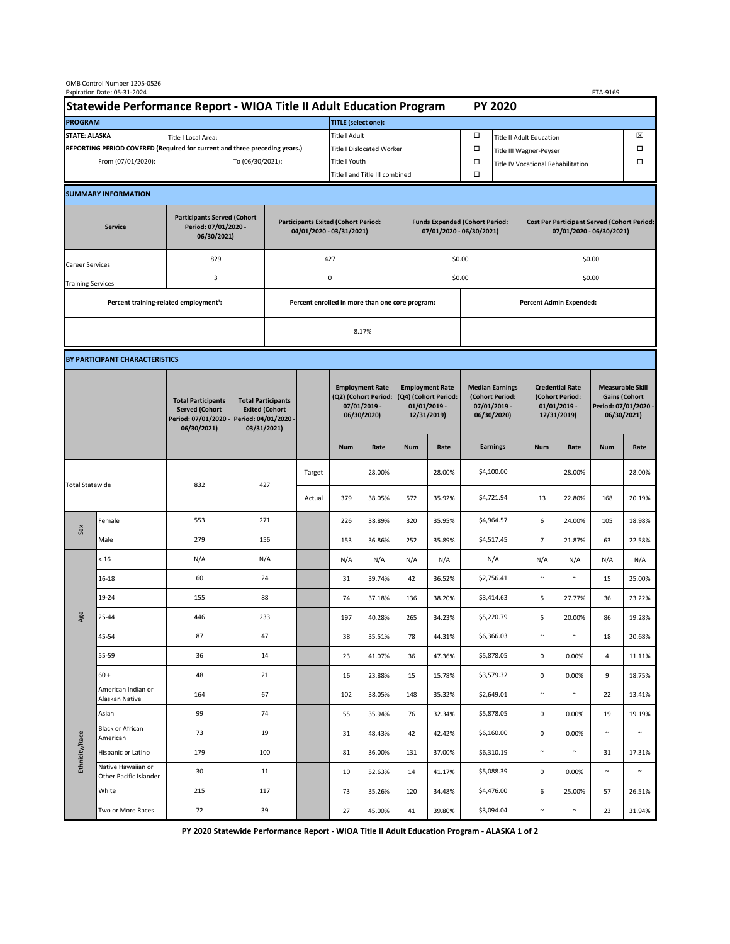| OMB Control Number 1205-0526<br>Expiration Date: 05-31-2024                                                          |                                                                      |                                                                                           |                                                                                           |                                                   |                                                 |                                                                               |                                                                   |                                                                                 |                                                                                   |                                                                            |                                                                                | ETA-9169                                                                   |            |                                                                                        |        |
|----------------------------------------------------------------------------------------------------------------------|----------------------------------------------------------------------|-------------------------------------------------------------------------------------------|-------------------------------------------------------------------------------------------|---------------------------------------------------|-------------------------------------------------|-------------------------------------------------------------------------------|-------------------------------------------------------------------|---------------------------------------------------------------------------------|-----------------------------------------------------------------------------------|----------------------------------------------------------------------------|--------------------------------------------------------------------------------|----------------------------------------------------------------------------|------------|----------------------------------------------------------------------------------------|--------|
|                                                                                                                      | Statewide Performance Report - WIOA Title II Adult Education Program |                                                                                           |                                                                                           |                                                   |                                                 |                                                                               |                                                                   |                                                                                 |                                                                                   |                                                                            | <b>PY 2020</b>                                                                 |                                                                            |            |                                                                                        |        |
| <b>PROGRAM</b>                                                                                                       |                                                                      |                                                                                           |                                                                                           |                                                   |                                                 | <b>TITLE</b> (select one):                                                    |                                                                   |                                                                                 |                                                                                   |                                                                            |                                                                                |                                                                            |            |                                                                                        |        |
| <b>STATE: ALASKA</b><br>Title I Local Area:                                                                          |                                                                      |                                                                                           |                                                                                           |                                                   |                                                 | Title I Adult                                                                 |                                                                   |                                                                                 |                                                                                   | □<br><b>Title II Adult Education</b>                                       |                                                                                |                                                                            |            |                                                                                        | ⊠      |
| REPORTING PERIOD COVERED (Required for current and three preceding years.)<br>From (07/01/2020):<br>To (06/30/2021): |                                                                      |                                                                                           |                                                                                           | <b>Title I Dislocated Worker</b><br>Title I Youth |                                                 |                                                                               |                                                                   |                                                                                 | $\Box$<br>Title III Wagner-Peyser<br>$\Box$<br>Title IV Vocational Rehabilitation |                                                                            |                                                                                |                                                                            |            | α<br>α                                                                                 |        |
|                                                                                                                      |                                                                      |                                                                                           |                                                                                           |                                                   |                                                 |                                                                               | Title I and Title III combined                                    |                                                                                 |                                                                                   |                                                                            |                                                                                |                                                                            |            |                                                                                        |        |
|                                                                                                                      | <b>SUMMARY INFORMATION</b>                                           |                                                                                           |                                                                                           |                                                   |                                                 |                                                                               |                                                                   |                                                                                 |                                                                                   |                                                                            |                                                                                |                                                                            |            |                                                                                        |        |
| <b>Participants Served (Cohort</b><br>Period: 07/01/2020 -<br><b>Service</b><br>06/30/2021)                          |                                                                      |                                                                                           | <b>Participants Exited (Cohort Period:</b><br>04/01/2020 - 03/31/2021)                    |                                                   |                                                 |                                                                               | <b>Funds Expended (Cohort Period:</b><br>07/01/2020 - 06/30/2021) |                                                                                 |                                                                                   |                                                                            | <b>Cost Per Participant Served (Cohort Period:</b><br>07/01/2020 - 06/30/2021) |                                                                            |            |                                                                                        |        |
| 829<br>Career Services                                                                                               |                                                                      |                                                                                           |                                                                                           |                                                   |                                                 | 427                                                                           |                                                                   |                                                                                 |                                                                                   | \$0.00                                                                     |                                                                                | \$0.00                                                                     |            |                                                                                        |        |
| <b>Training Services</b>                                                                                             |                                                                      | 3                                                                                         | $\mathsf 0$                                                                               |                                                   |                                                 |                                                                               | \$0.00                                                            |                                                                                 |                                                                                   |                                                                            | \$0.00                                                                         |                                                                            |            |                                                                                        |        |
|                                                                                                                      | Percent training-related employment <sup>1</sup> :                   |                                                                                           |                                                                                           |                                                   | Percent enrolled in more than one core program: |                                                                               |                                                                   |                                                                                 |                                                                                   | Percent Admin Expended:                                                    |                                                                                |                                                                            |            |                                                                                        |        |
|                                                                                                                      |                                                                      |                                                                                           |                                                                                           | 8.17%                                             |                                                 |                                                                               |                                                                   |                                                                                 |                                                                                   |                                                                            |                                                                                |                                                                            |            |                                                                                        |        |
|                                                                                                                      | BY PARTICIPANT CHARACTERISTICS                                       |                                                                                           |                                                                                           |                                                   |                                                 |                                                                               |                                                                   |                                                                                 |                                                                                   |                                                                            |                                                                                |                                                                            |            |                                                                                        |        |
|                                                                                                                      |                                                                      | <b>Total Participants</b><br><b>Served (Cohort</b><br>Period: 07/01/2020 -<br>06/30/2021) | <b>Total Participants</b><br><b>Exited (Cohort</b><br>Period: 04/01/2020 -<br>03/31/2021) |                                                   |                                                 | <b>Employment Rate</b><br>(Q2) (Cohort Period:<br>07/01/2019 -<br>06/30/2020) |                                                                   | <b>Employment Rate</b><br>(Q4) (Cohort Period:<br>$01/01/2019$ -<br>12/31/2019) |                                                                                   | <b>Median Earnings</b><br>(Cohort Period:<br>$07/01/2019 -$<br>06/30/2020) |                                                                                | <b>Credential Rate</b><br>(Cohort Period:<br>$01/01/2019$ -<br>12/31/2019) |            | <b>Measurable Skill</b><br><b>Gains (Cohort</b><br>Period: 07/01/2020 -<br>06/30/2021) |        |
|                                                                                                                      |                                                                      |                                                                                           |                                                                                           |                                                   |                                                 | <b>Num</b>                                                                    | Rate                                                              | <b>Num</b>                                                                      | Rate                                                                              |                                                                            | <b>Earnings</b>                                                                | <b>Num</b>                                                                 | Rate       | <b>Num</b>                                                                             | Rate   |
| <b>Total Statewide</b>                                                                                               |                                                                      | 832                                                                                       | 427                                                                                       |                                                   | Target                                          |                                                                               | 28.00%                                                            |                                                                                 | 28.00%                                                                            |                                                                            | \$4,100.00                                                                     |                                                                            | 28.00%     |                                                                                        | 28.00% |
|                                                                                                                      |                                                                      |                                                                                           |                                                                                           |                                                   | Actual                                          | 379                                                                           | 38.05%                                                            | 572                                                                             | 35.92%                                                                            |                                                                            | \$4,721.94                                                                     | 13                                                                         | 22.80%     | 168                                                                                    | 20.19% |
| Sex                                                                                                                  | Female                                                               | 553                                                                                       | 271                                                                                       |                                                   |                                                 | 226                                                                           | 38.89%                                                            | 320                                                                             | 35.95%                                                                            |                                                                            | \$4,964.57                                                                     | $\boldsymbol{6}$                                                           | 24.00%     | 105                                                                                    | 18.98% |
|                                                                                                                      | Male                                                                 | 279                                                                                       | 156                                                                                       |                                                   |                                                 | 153                                                                           | 36.86%                                                            | 252                                                                             | 35.89%                                                                            |                                                                            | \$4,517.45                                                                     | $\overline{7}$                                                             | 21.87%     | 63                                                                                     | 22.58% |
| Age                                                                                                                  | < 16                                                                 | N/A                                                                                       | N/A                                                                                       |                                                   |                                                 | N/A                                                                           | N/A                                                               | N/A                                                                             | N/A                                                                               |                                                                            | N/A                                                                            | N/A                                                                        | N/A        | N/A                                                                                    | N/A    |
|                                                                                                                      | 16-18                                                                | 60                                                                                        | 24                                                                                        |                                                   |                                                 | 31                                                                            | 39.74%                                                            | 42                                                                              | 36.52%                                                                            |                                                                            | \$2,756.41                                                                     | $\sim$                                                                     | $\sim$     | 15                                                                                     | 25.00% |
|                                                                                                                      | 19-24                                                                | 155                                                                                       | 88                                                                                        |                                                   |                                                 | 74                                                                            | 37.18%                                                            | 136                                                                             | 38.20%                                                                            |                                                                            | \$3,414.63                                                                     | 5                                                                          | 27.77%     | 36                                                                                     | 23.22% |
|                                                                                                                      | 25-44                                                                | 446                                                                                       | 233                                                                                       |                                                   |                                                 | 197                                                                           | 40.28%                                                            | 265                                                                             | 34.23%                                                                            |                                                                            | \$5,220.79                                                                     | 5                                                                          | 20.00%     | 86                                                                                     | 19.28% |
|                                                                                                                      | 45-54                                                                | 87                                                                                        | 47                                                                                        |                                                   |                                                 | 38                                                                            | 35.51%                                                            | 78                                                                              | 44.31%                                                                            |                                                                            | \$6,366.03                                                                     | $\sim$                                                                     | $\sim$     | 18                                                                                     | 20.68% |
|                                                                                                                      | 55-59                                                                | 36                                                                                        | 14                                                                                        |                                                   |                                                 | 23                                                                            | 41.07%                                                            | 36                                                                              | 47.36%                                                                            |                                                                            | \$5,878.05                                                                     | $\mathbf 0$                                                                | 0.00%      | 4                                                                                      | 11.11% |
|                                                                                                                      | $60 +$                                                               | 48                                                                                        | 21                                                                                        |                                                   |                                                 | 16                                                                            | 23.88%                                                            | 15                                                                              | 15.78%                                                                            |                                                                            | \$3,579.32                                                                     | 0                                                                          | 0.00%      | 9                                                                                      | 18.75% |
| Ethnicity/Race                                                                                                       | American Indian or<br>Alaskan Native                                 | 164                                                                                       | 67                                                                                        |                                                   |                                                 | 102                                                                           | 38.05%                                                            | 148                                                                             | 35.32%                                                                            |                                                                            | \$2,649.01                                                                     | $\sim$                                                                     | $\sim$     | 22                                                                                     | 13.41% |
|                                                                                                                      | Asian                                                                | 99                                                                                        | 74                                                                                        |                                                   |                                                 | 55                                                                            | 35.94%                                                            | 76                                                                              | 32.34%                                                                            |                                                                            | \$5,878.05                                                                     | $\pmb{0}$                                                                  | 0.00%      | 19                                                                                     | 19.19% |
|                                                                                                                      | <b>Black or African</b><br>American                                  | 73                                                                                        | 19                                                                                        |                                                   |                                                 | 31                                                                            | 48.43%                                                            | 42                                                                              | 42.42%                                                                            |                                                                            | \$6,160.00                                                                     | $\mathbf 0$                                                                | 0.00%      | $\sim$                                                                                 | $\sim$ |
|                                                                                                                      | Hispanic or Latino                                                   | 179                                                                                       | 100                                                                                       |                                                   |                                                 | 81                                                                            | 36.00%                                                            | 131                                                                             | 37.00%                                                                            |                                                                            | \$6,310.19                                                                     | $\sim$                                                                     | $\sim$     | 31                                                                                     | 17.31% |
|                                                                                                                      | Native Hawaiian or<br>Other Pacific Islander                         | 30                                                                                        | 11                                                                                        |                                                   |                                                 | 10                                                                            | 52.63%                                                            | 14                                                                              | 41.17%                                                                            |                                                                            | \$5,088.39                                                                     | $\mathbf 0$                                                                | 0.00%      | $\sim$                                                                                 | $\sim$ |
|                                                                                                                      | White                                                                | 215                                                                                       | 117                                                                                       |                                                   |                                                 | 73                                                                            | 35.26%                                                            | 120                                                                             | 34.48%                                                                            |                                                                            | \$4,476.00                                                                     | 6                                                                          | 25.00%     | 57                                                                                     | 26.51% |
|                                                                                                                      | Two or More Races                                                    | 72                                                                                        | 39                                                                                        |                                                   |                                                 | 27                                                                            | 45.00%                                                            | 41                                                                              | 39.80%                                                                            |                                                                            | \$3,094.04                                                                     | $\sim$                                                                     | $\tilde{}$ | 23                                                                                     | 31.94% |

 **PY 2020 Statewide Performance Report - WIOA Title II Adult Education Program - ALASKA 1 of 2**